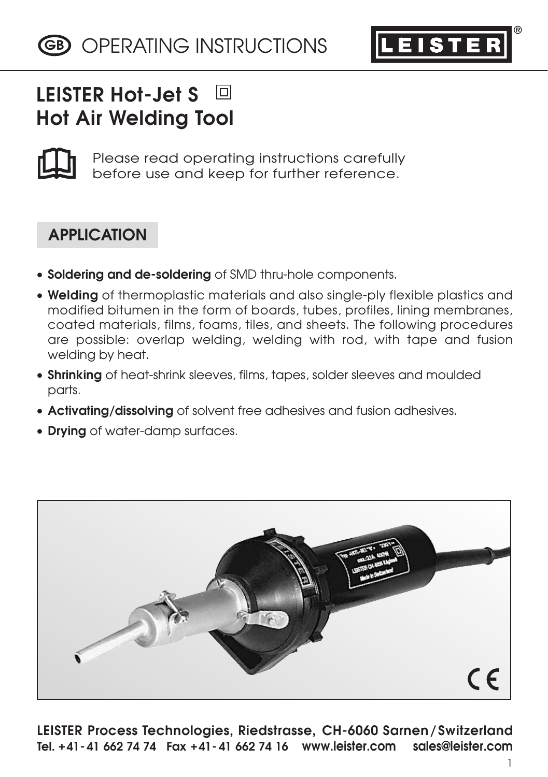



# **LEISTER Hot-Jet S Hot Air Welding Tool**



Please read operating instructions carefully before use and keep for further reference.

## **APPLICATION**

- **Soldering and de-soldering** of SMD thru-hole components.
- **Welding** of thermoplastic materials and also single-ply flexible plastics and modified bitumen in the form of boards, tubes, profiles, lining membranes, coated materials, films, foams, tiles, and sheets. The following procedures are possible: overlap welding, welding with rod, with tape and fusion welding by heat.
- **Shrinking** of heat-shrink sleeves, films, tapes, solder sleeves and moulded parts.
- **Activating/dissolving** of solvent free adhesives and fusion adhesives.
- **Drying** of water-damp surfaces.



**LEISTER Process Technologies, Riedstrasse, CH-6060 Sarnen /Switzerland Tel. +41- 41 662 74 74 Fax +41- 41 662 74 16 www.leister.com sales@leister.com**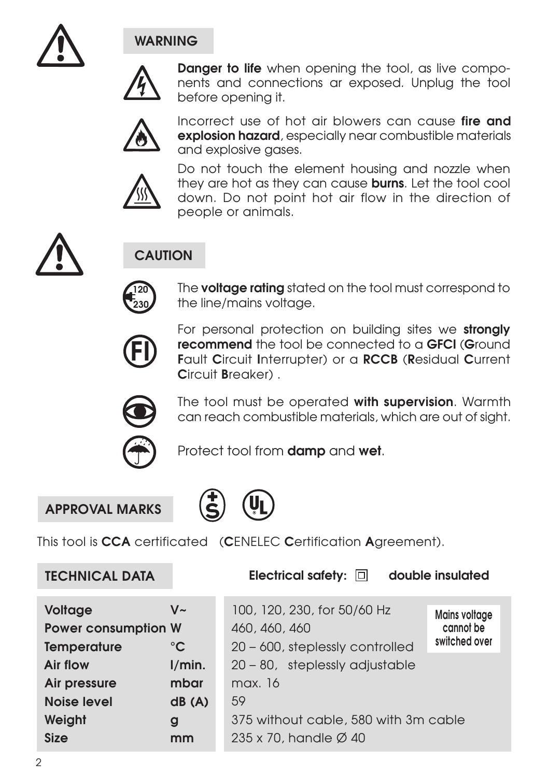

### **WARNING**



**Danger to life** when opening the tool, as live components and connections ar exposed. Unplug the tool before opening it.



Incorrect use of hot air blowers can cause **fire and explosion hazard**, especially near combustible materials and explosive gases.



Do not touch the element housing and nozzle when they are hot as they can cause **burns**. Let the tool cool down. Do not point hot air flow in the direction of people or animals.



## **CAUTION**



The **voltage rating** stated on the tool must correspond to the line/mains voltage.



For personal protection on building sites we **strongly recommend** the tool be connected to a **GFCI** (**G**round **F**ault **C**ircuit **I**nterrupter) or a **RCCB** (**R**esidual **C**urrent **C**ircuit **B**reaker) .





Protect tool from **damp** and **wet**.

**APPROVAL MARKS**



This tool is **CCA** certificated (**C**ENELEC **C**ertification **A**greement).

| <b>TECHNICAL DATA</b>                                                   |                                    | Electrical safety: $\Box$                                                                                                       | double insulated                            |
|-------------------------------------------------------------------------|------------------------------------|---------------------------------------------------------------------------------------------------------------------------------|---------------------------------------------|
| Voltage<br><b>Power consumption W</b><br><b>Temperature</b>             | V~<br>$^{\circ}$ C                 | 100, 120, 230, for 50/60 Hz<br>460, 460, 460<br>20 - 600, steplessly controlled                                                 | Mains voltage<br>cannot be<br>switched over |
| Air flow<br>Air pressure<br><b>Noise level</b><br>Weight<br><b>Size</b> | 1/min.<br>mbar<br>dB(A)<br>g<br>mm | $20 - 80$ , steplessly adjustable<br>max. 16<br>59<br>375 without cable, 580 with 3m cable<br>235 x 70, handle $\varnothing$ 40 |                                             |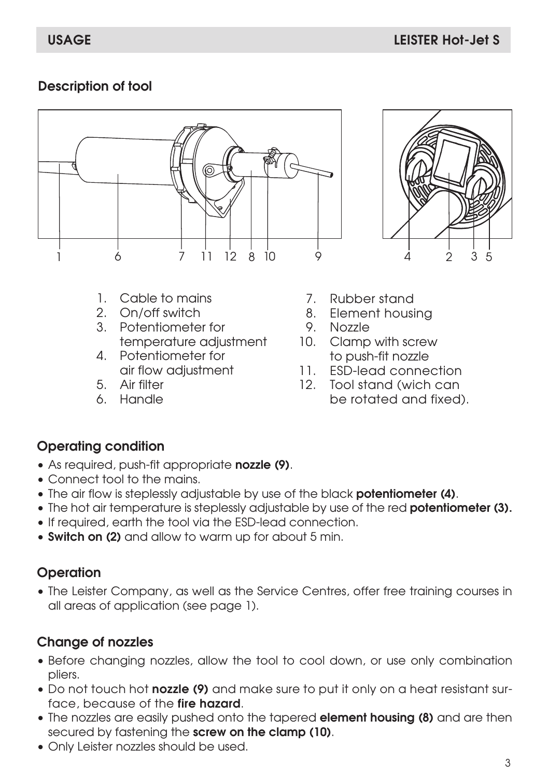#### **Description of tool**





- 1. Cable to mains
- 2. On/off switch
- 3. Potentiometer for temperature adjustment
- 4. Potentiometer for air flow adjustment
- 5. Air filter
- 6. Handle
- 7. Rubber stand
- 8. Element housing
- 9. Nozzle
- 10. Clamp with screw to push-fit nozzle
- 11. ESD-lead connection
- 12. Tool stand (wich can be rotated and fixed).

#### **Operating condition**

- As required, push-fit appropriate **nozzle (9)**.
- Connect tool to the mains.
- The air flow is steplessly adjustable by use of the black **potentiometer (4)**.
- The hot air temperature is steplessly adjustable by use of the red **potentiometer (3).**
- If required, earth the tool via the ESD-lead connection.
- **Switch on (2)** and allow to warm up for about 5 min.

#### **Operation**

• The Leister Company, as well as the Service Centres, offer free training courses in all areas of application (see page 1).

#### **Change of nozzles**

- Before changing nozzles, allow the tool to cool down, or use only combination pliers.
- Do not touch hot **nozzle (9)** and make sure to put it only on a heat resistant surface, because of the **fire hazard**.
- The nozzles are easily pushed onto the tapered **element housing (8)** and are then secured by fastening the **screw on the clamp (10)**.
- Only Leister nozzles should be used.